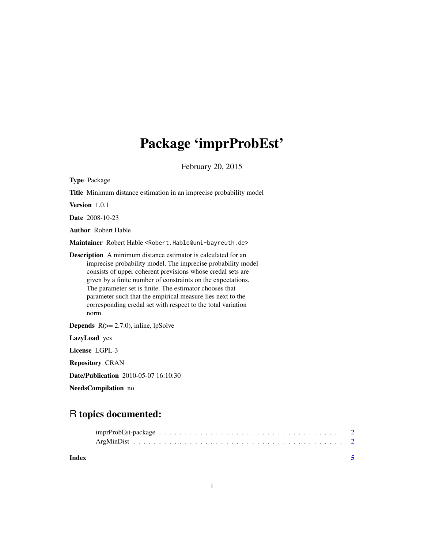# Package 'imprProbEst'

February 20, 2015

| <b>Type Package</b>                                                                                                                                                                                                                                                                                                                                                                                                                                                   |
|-----------------------------------------------------------------------------------------------------------------------------------------------------------------------------------------------------------------------------------------------------------------------------------------------------------------------------------------------------------------------------------------------------------------------------------------------------------------------|
| <b>Title</b> Minimum distance estimation in an imprecise probability model                                                                                                                                                                                                                                                                                                                                                                                            |
| Version 1.0.1                                                                                                                                                                                                                                                                                                                                                                                                                                                         |
| <b>Date</b> 2008-10-23                                                                                                                                                                                                                                                                                                                                                                                                                                                |
| <b>Author</b> Robert Hable                                                                                                                                                                                                                                                                                                                                                                                                                                            |
| Maintainer Robert Hable <robert.hable@uni-bayreuth.de></robert.hable@uni-bayreuth.de>                                                                                                                                                                                                                                                                                                                                                                                 |
| <b>Description</b> A minimum distance estimator is calculated for an<br>imprecise probability model. The imprecise probability model<br>consists of upper coherent previsions whose credal sets are<br>given by a finite number of constraints on the expectations.<br>The parameter set is finite. The estimator chooses that<br>parameter such that the empirical measure lies next to the<br>corresponding credal set with respect to the total variation<br>norm. |
| <b>Depends</b> $R(>= 2.7.0)$ , inline, lpSolve                                                                                                                                                                                                                                                                                                                                                                                                                        |
| LazyLoad yes                                                                                                                                                                                                                                                                                                                                                                                                                                                          |
| License LGPL-3                                                                                                                                                                                                                                                                                                                                                                                                                                                        |
| <b>Repository CRAN</b>                                                                                                                                                                                                                                                                                                                                                                                                                                                |
| <b>Date/Publication</b> 2010-05-07 16:10:30                                                                                                                                                                                                                                                                                                                                                                                                                           |
| NeedsCompilation no                                                                                                                                                                                                                                                                                                                                                                                                                                                   |

# R topics documented:

| Index |  |  |
|-------|--|--|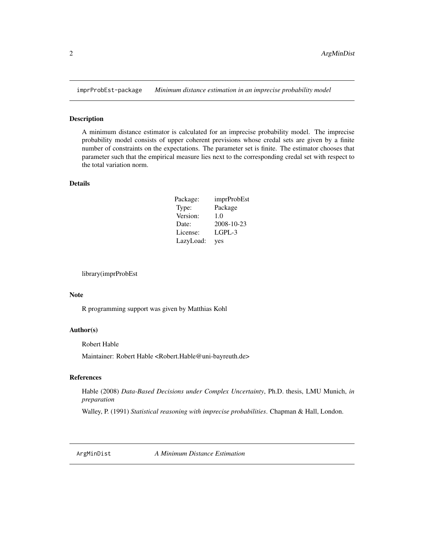<span id="page-1-0"></span>

## Description

A minimum distance estimator is calculated for an imprecise probability model. The imprecise probability model consists of upper coherent previsions whose credal sets are given by a finite number of constraints on the expectations. The parameter set is finite. The estimator chooses that parameter such that the empirical measure lies next to the corresponding credal set with respect to the total variation norm.

### Details

| Package:  | imprProbEst |
|-----------|-------------|
| Type:     | Package     |
| Version:  | 1.0         |
| Date:     | 2008-10-23  |
| License:  | LGPL-3      |
| LazyLoad: | yes         |

library(imprProbEst

#### Note

R programming support was given by Matthias Kohl

#### Author(s)

Robert Hable

Maintainer: Robert Hable <Robert.Hable@uni-bayreuth.de>

#### References

Hable (2008) *Data-Based Decisions under Complex Uncertainty*, Ph.D. thesis, LMU Munich, *in preparation*

Walley, P. (1991) *Statistical reasoning with imprecise probabilities*. Chapman & Hall, London.

ArgMinDist *A Minimum Distance Estimation*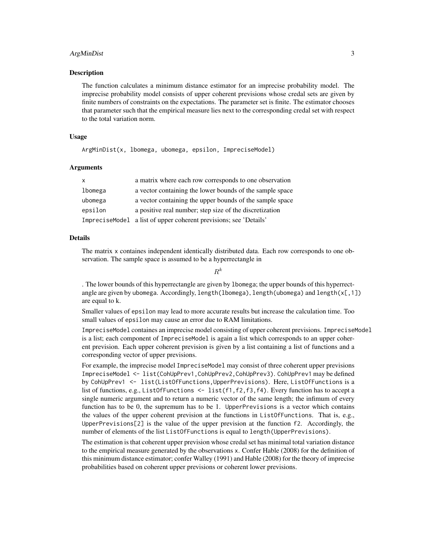# ArgMinDist 3

#### Description

The function calculates a minimum distance estimator for an imprecise probability model. The imprecise probability model consists of upper coherent previsions whose credal sets are given by finite numbers of constraints on the expectations. The parameter set is finite. The estimator chooses that parameter such that the empirical measure lies next to the corresponding credal set with respect to the total variation norm.

#### Usage

ArgMinDist(x, lbomega, ubomega, epsilon, ImpreciseModel)

#### Arguments

| X.      | a matrix where each row corresponds to one observation            |
|---------|-------------------------------------------------------------------|
| lbomega | a vector containing the lower bounds of the sample space          |
| ubomega | a vector containing the upper bounds of the sample space          |
| epsilon | a positive real number; step size of the discretization           |
|         | ImpreciseModel a list of upper coherent previsions; see 'Details' |

#### Details

The matrix x containes independent identically distributed data. Each row corresponds to one observation. The sample space is assumed to be a hyperrectangle in

 $R^k$ 

. The lower bounds of this hyperrectangle are given by lbomega; the upper bounds of this hyperrectangle are given by ubomega. Accordingly, length(lbomega), length(ubomega) and length(x[,1]) are equal to k.

Smaller values of epsilon may lead to more accurate results but increase the calculation time. Too small values of epsilon may cause an error due to RAM limitations.

ImpreciseModel containes an imprecise model consisting of upper coherent previsions. ImpreciseModel is a list; each component of ImpreciseModel is again a list which corresponds to an upper coherent prevision. Each upper coherent prevision is given by a list containing a list of functions and a corresponding vector of upper previsions.

For example, the imprecise model ImpreciseModel may consist of three coherent upper previsions ImpreciseModel <- list(CohUpPrev1,CohUpPrev2,CohUpPrev3). CohUpPrev1 may be defined by CohUpPrev1 <- list(ListOfFunctions,UpperPrevisions). Here, ListOfFunctions is a list of functions, e.g., ListOfFunctions  $\leq$  list(f1, f2, f3, f4). Every function has to accept a single numeric argument and to return a numeric vector of the same length; the infimum of every function has to be 0, the supremum has to be 1. UpperPrevisions is a vector which contains the values of the upper coherent prevision at the functions in ListOfFunctions. That is, e.g., UpperPrevisions[2] is the value of the upper prevision at the function  $f2$ . Accordingly, the number of elements of the list ListOfFunctions is equal to length(UpperPrevisions).

The estimation is that coherent upper prevision whose credal set has minimal total variation distance to the empirical measure generated by the observations x. Confer Hable (2008) for the definition of this minimum distance estimator; confer Walley (1991) and Hable (2008) for the theory of imprecise probabilities based on coherent upper previsions or coherent lower previsions.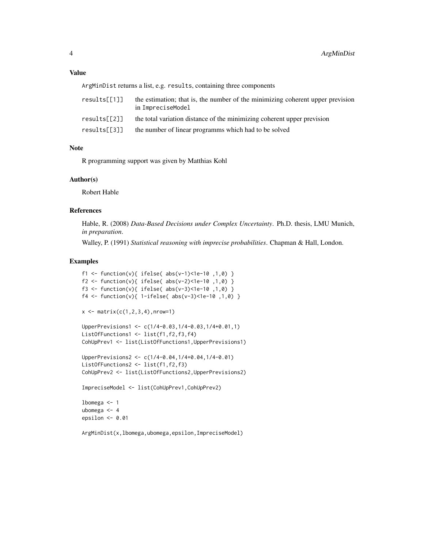# Value

ArgMinDist returns a list, e.g. results, containing three components

| results「ſ111 | the estimation; that is, the number of the minimizing coherent upper prevision<br>in ImpreciseModel |
|--------------|-----------------------------------------------------------------------------------------------------|
| results「[2]] | the total variation distance of the minimizing coherent upper prevision                             |
| results[[3]] | the number of linear programms which had to be solved                                               |

## Note

R programming support was given by Matthias Kohl

# Author(s)

Robert Hable

# References

Hable, R. (2008) *Data-Based Decisions under Complex Uncertainty*. Ph.D. thesis, LMU Munich, *in preparation*.

Walley, P. (1991) *Statistical reasoning with imprecise probabilities*. Chapman & Hall, London.

#### Examples

```
f1 <- function(v){ ifelse( abs(v-1)<1e-10 ,1,0) }
f2 <- function(v){ ifelse( abs(v-2)<1e-10 ,1,0) }
f3 <- function(v){ ifelse( abs(v-3)<1e-10 ,1,0) }
f4 <- function(v){ 1-ifelse( abs(v-3)<1e-10 ,1,0) }
x \leftarrow \text{matrix}(c(1, 2, 3, 4), nrow=1)UpperPrevisions1 <- c(1/4-0.03,1/4-0.03,1/4+0.01,1)
ListOfFunctions1 <- list(f1,f2,f3,f4)
CohUpPrev1 <- list(ListOfFunctions1,UpperPrevisions1)
UpperPrevisions2 <- c(1/4-0.04,1/4+0.04,1/4-0.01)
ListOfFunctions2 <- list(f1,f2,f3)
CohUpPrev2 <- list(ListOfFunctions2,UpperPrevisions2)
ImpreciseModel <- list(CohUpPrev1,CohUpPrev2)
lbomega <- 1
ubomega <- 4
epsilon <- 0.01
```
ArgMinDist(x,lbomega,ubomega,epsilon,ImpreciseModel)